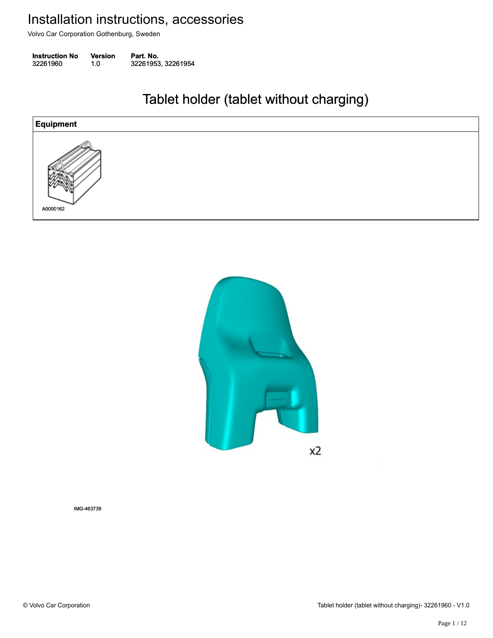Volvo Car Corporation Gothenburg, Sweden

**Instruction No** Version Part. No. 32261960 1.0 32261953, 32261954 322619601.032261953, 32261954

#### Tablet holder (tablet without charging) Tablet holder (tablet without charging)





IMG-463739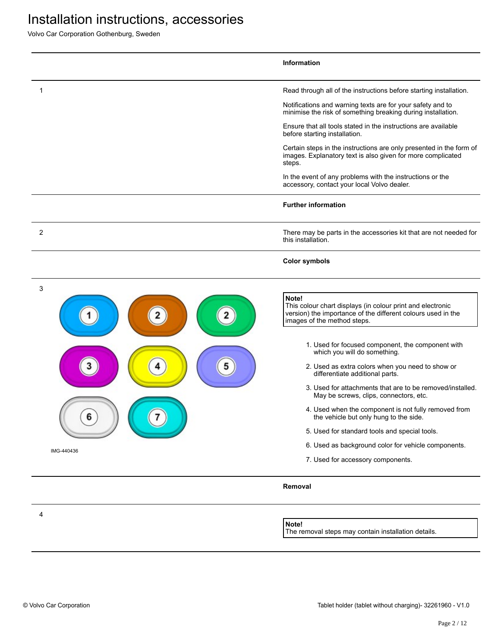Volvo Car Corporation Gothenburg, Sweden

|                      | Information                                                                                                                                                                                                                                                                                                                                                                                                                                                                                                                                                                                                                                                                                          |
|----------------------|------------------------------------------------------------------------------------------------------------------------------------------------------------------------------------------------------------------------------------------------------------------------------------------------------------------------------------------------------------------------------------------------------------------------------------------------------------------------------------------------------------------------------------------------------------------------------------------------------------------------------------------------------------------------------------------------------|
| 1                    | Read through all of the instructions before starting installation.                                                                                                                                                                                                                                                                                                                                                                                                                                                                                                                                                                                                                                   |
|                      | Notifications and warning texts are for your safety and to<br>minimise the risk of something breaking during installation.                                                                                                                                                                                                                                                                                                                                                                                                                                                                                                                                                                           |
|                      | Ensure that all tools stated in the instructions are available<br>before starting installation.                                                                                                                                                                                                                                                                                                                                                                                                                                                                                                                                                                                                      |
|                      | Certain steps in the instructions are only presented in the form of<br>images. Explanatory text is also given for more complicated<br>steps.                                                                                                                                                                                                                                                                                                                                                                                                                                                                                                                                                         |
|                      | In the event of any problems with the instructions or the<br>accessory, contact your local Volvo dealer.                                                                                                                                                                                                                                                                                                                                                                                                                                                                                                                                                                                             |
|                      | <b>Further information</b>                                                                                                                                                                                                                                                                                                                                                                                                                                                                                                                                                                                                                                                                           |
| $\overline{2}$       | There may be parts in the accessories kit that are not needed for<br>this installation.                                                                                                                                                                                                                                                                                                                                                                                                                                                                                                                                                                                                              |
|                      | <b>Color symbols</b>                                                                                                                                                                                                                                                                                                                                                                                                                                                                                                                                                                                                                                                                                 |
| 3<br>5<br>IMG-440436 | Note!<br>This colour chart displays (in colour print and electronic<br>version) the importance of the different colours used in the<br>images of the method steps.<br>1. Used for focused component, the component with<br>which you will do something.<br>2. Used as extra colors when you need to show or<br>differentiate additional parts.<br>3. Used for attachments that are to be removed/installed.<br>May be screws, clips, connectors, etc.<br>4. Used when the component is not fully removed from<br>the vehicle but only hung to the side.<br>5. Used for standard tools and special tools.<br>6. Used as background color for vehicle components.<br>7. Used for accessory components. |
|                      | Removal                                                                                                                                                                                                                                                                                                                                                                                                                                                                                                                                                                                                                                                                                              |
| 4                    | Note!                                                                                                                                                                                                                                                                                                                                                                                                                                                                                                                                                                                                                                                                                                |

The removal steps may contain installation details.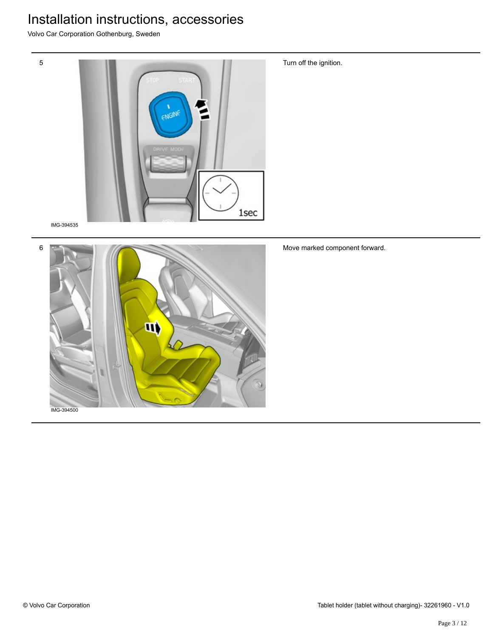Volvo Car Corporation Gothenburg, Sweden



IMG-394535

5



Move marked component forward.

Turn off the ignition.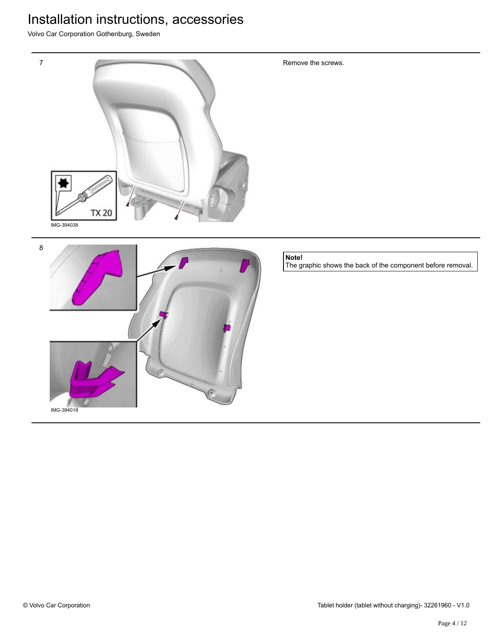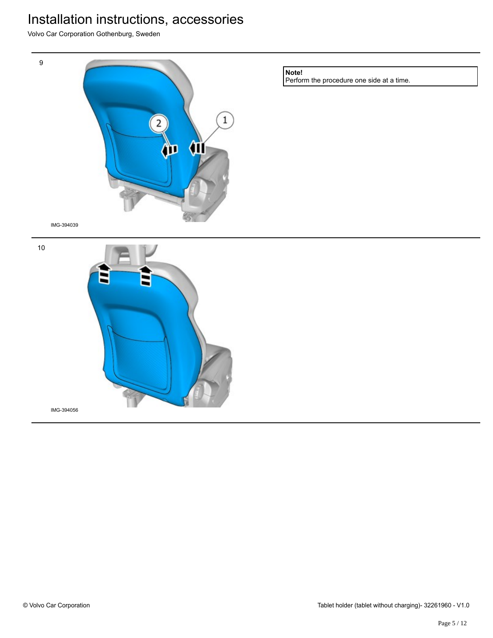Volvo Car Corporation Gothenburg, Sweden



IMG-394056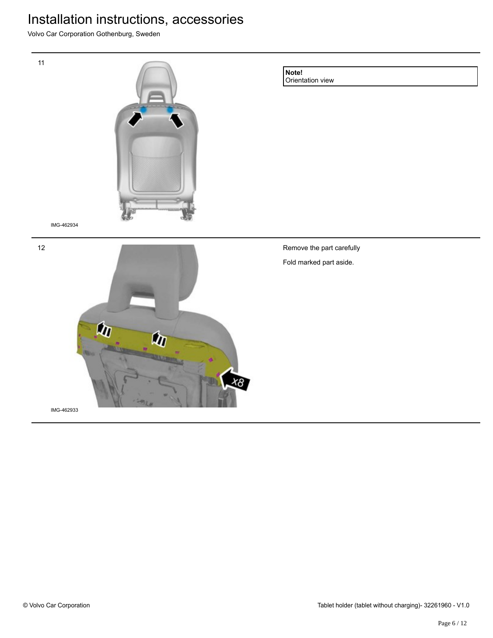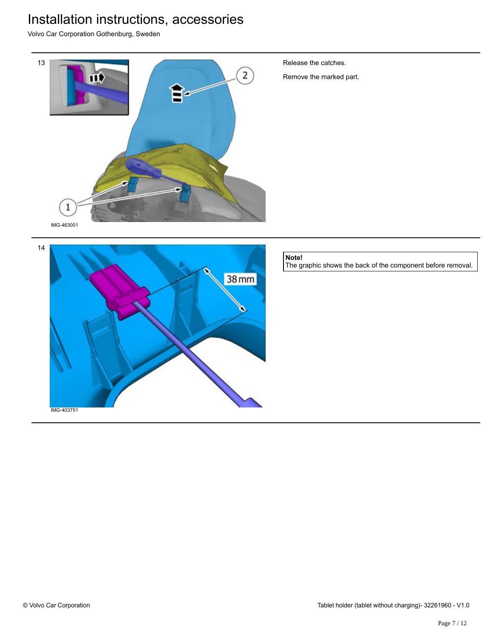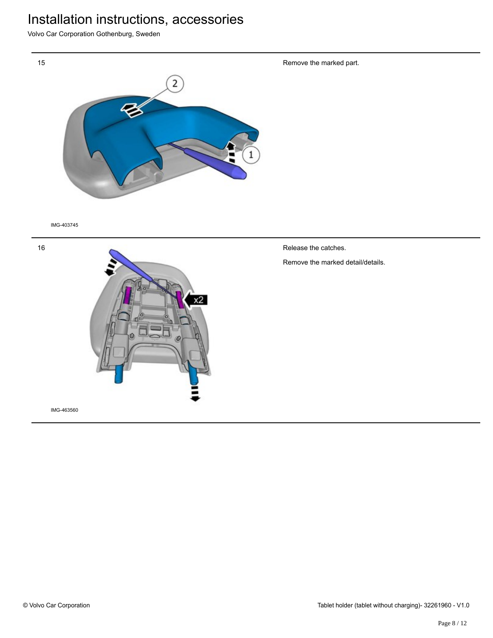Volvo Car Corporation Gothenburg, Sweden



IMG-403745



Remove the marked part.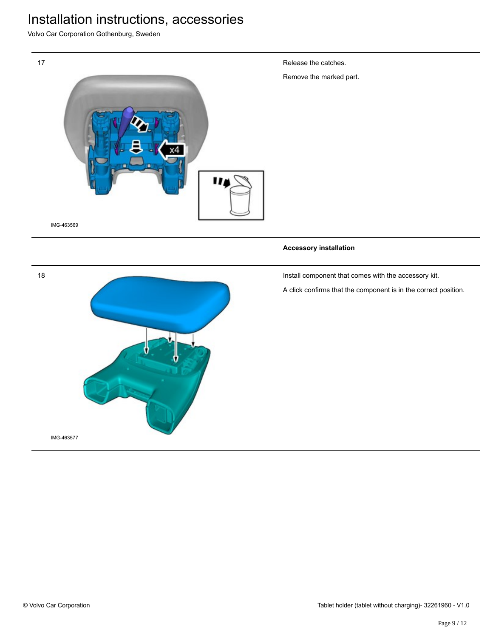Volvo Car Corporation Gothenburg, Sweden



Release the catches.

Remove the marked part.

#### **Accessory installation**

Install component that comes with the accessory kit.

A click confirms that the component is in the correct position.



18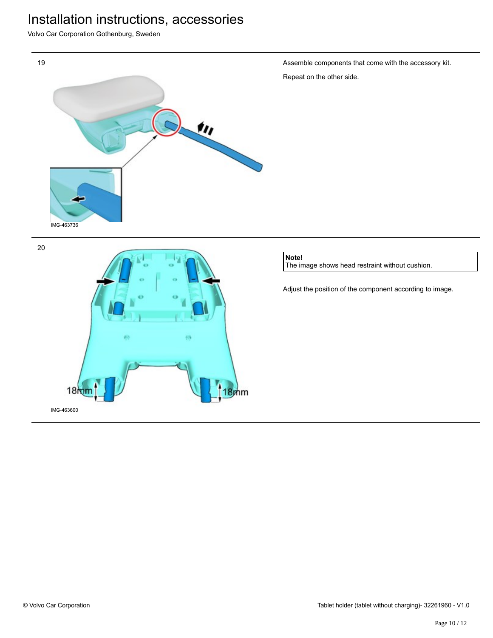Volvo Car Corporation Gothenburg, Sweden







#### **Note!**

The image shows head restraint without cushion.

Adjust the position of the component according to image.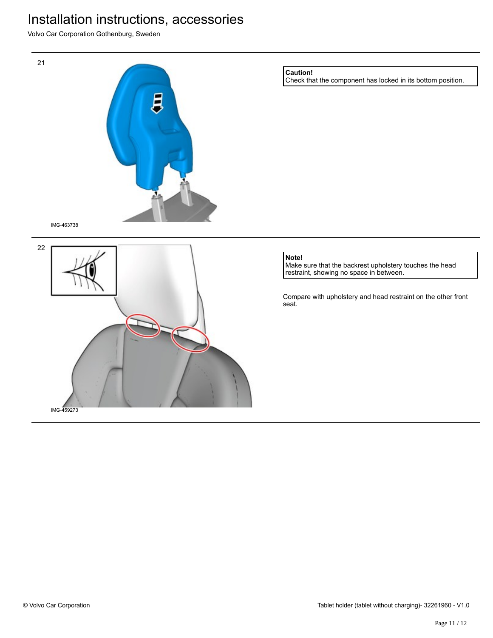